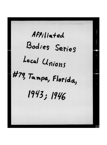Affiliated Bodies Series Local Unions #79, Tampa, Florida, 1943; 1946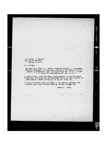July 7, 1943

Ir. Juseph A. Padway 736 Joten Building Mashington 5, D. C.

Let Judge:

**HERE** 

nclosed is a copy of a letter received from W. .. Sullivan,<br>.ecretary-Treasurir of our Local Union 79, of Tamps, Florida,<br>to which is attached a copy of House Bill No. 1/2 as assurated<br>by the Florida Begislature on NEW 21,

I wish to call your attentio, particularly to misstatement<br>concerning the attitude of President Green and his request to<br>..lthe local pions in Florial to ignore this law.

I will appreciate your methods we as soon as rossible the ttitude our people should take in regard to twas lave

79

incerely ours,

Enc. 2

**CIING FOR DAMIFL J. TOBIN.**<br>GENERAL PRESIDENT

ia.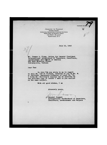JOSEPH A. PADWAY GENERAL COUNSEL INTERNATIONAL BROTHERHOOD OF TEAMSTERS. CHAUFFEURS<br>WAREHOUSEMEN AND HELPERS OF AMERICA 736 BOWEN BUILDING<br>WASHINGTON, D. C.

July 10, 1943

TELEPHONE REPU**S** 

Mr. Thomas E. Flynn, Acting for General President<br>International Brotherhood of Teamsters, Chauffeurs,<br>marehousemen and Hepers of America<br>222 East Michigan Street<br>Indianapolis, Indiana

Dear Tom:

L

On July 7th you wrote to me in regard to Bill No. 142 of Florida, referred to you by Mr. W.<br>E. Sullivan, Secretary-Treasurer of Local No. 79.<br>I think Mr. Sullivan's inquiry can be answered by the enclosed copy of letter I sent to you earlier the enclosed copy of letter I sent to you earlier<br>on the same subject.

With all good wishes, I am

Sincerely yours,

,

^ General Counsel International Brotherhood of Teamsters, Chauffeurs, arehouaemen and Helpers